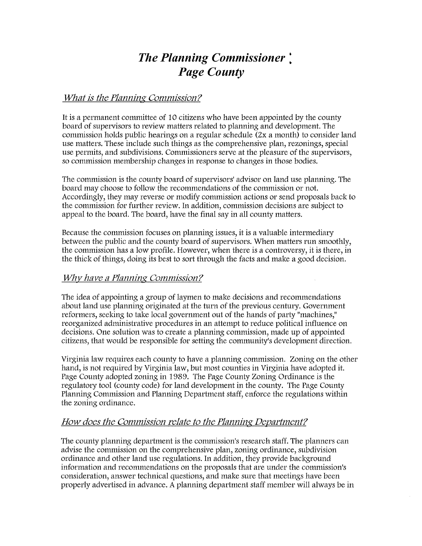# *The Planning Commissioner* \* *Page County*

# *What is the Planning Commission ?*

It is a permanent committee of 10 citizens who have been appointed by the county board of supervisors to review matters related to planning and development. The commission holds public hearings on a regular schedule (2x a month) to consider land use matters. These include such things as the comprehensive plan, rezonings, special use permits, and subdivisions. Commissioners serve at the pleasure of the supervisors, so commission membership changes in response to changes in those bodies.

The commission is the county board of supervisors' advisor on land use planning. The board may choose to follow the recommendations of the commission or not. Accordingly, they may reverse or modify commission actions or send proposals back to the commission for further review. In addition, commission decisions are subject to appeal to the board. The board, have the final say in all county matters.

Because the commission focuses on planning issues, it is a valuable intermediary between the public and the county board of supervisors. When matters run smoothly, the commission has a low profile. However, when there is a controversy, it is there, in the thick of things, doing its best to sort through the facts and make a good decision.

### *Why have a Planning Commission?*

The idea of appointing a group of laymen to make decisions and recommendations about land use planning originated at the turn of the previous century. Government reformers, seeking to take local government out of the hands of party "machines," reorganized administrative procedures in an attempt to reduce political influence on decisions. One solution was to create a planning commission, made up of appointed citizens, that would be responsible for setting the community's development direction.

Virginia law requires each county to have a planning commission. Zoning on the other hand, is not required by Virginia law, but most counties in Virginia have adopted it. Page County adopted zoning in 1989. The Page County Zoning Ordinance is the regulatory tool (county code) for land development in the county. The Page County Planning Commission and Planning Department staff, enforce the regulations within the zoning ordinance.

# *How does the Commission relate to the Planning Department?*

The county planning department is the commission's research staff. The planners can advise the commission on the comprehensive plan, zoning ordinance, subdivision ordinance and other land use regulations. In addition, they provide background information and recommendations *on* the proposals that are under the commission's consideration, answer technical questions, and make sure that meetings have been properly advertised in advance. A planning department staff member will always be in